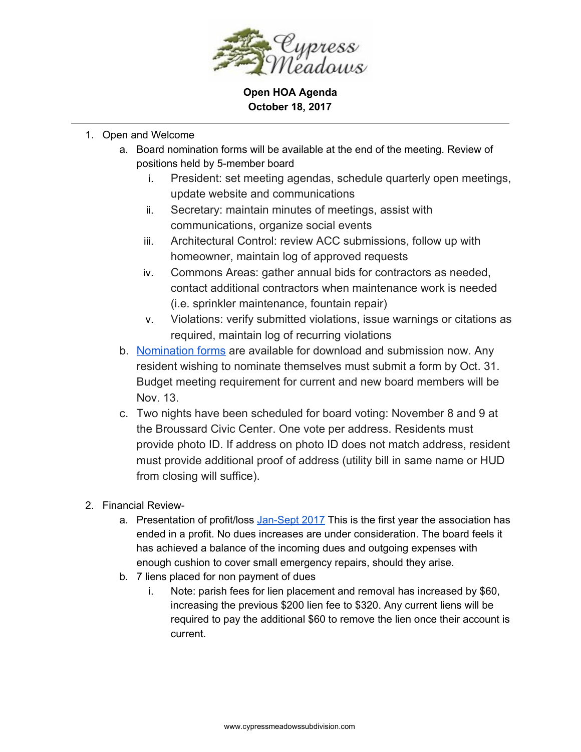

**Open HOA Agenda October 18, 2017**

## 1. Open and Welcome

- a. Board nomination forms will be available at the end of the meeting. Review of positions held by 5-member board
	- i. President: set meeting agendas, schedule quarterly open meetings, update website and communications
	- ii. Secretary: maintain minutes of meetings, assist with communications, organize social events
	- iii. Architectural Control: review ACC submissions, follow up with homeowner, maintain log of approved requests
	- iv. Commons Areas: gather annual bids for contractors as needed, contact additional contractors when maintenance work is needed (i.e. sprinkler maintenance, fountain repair)
	- v. Violations: verify submitted violations, issue warnings or citations as required, maintain log of recurring violations
- b. [Nomination](https://drive.google.com/file/d/0BxGWMXC4fyRkVG0wZGQ4WjVzWG8/view?usp=sharing) forms are available for download and submission now. Any resident wishing to nominate themselves must submit a form by Oct. 31. Budget meeting requirement for current and new board members will be Nov. 13.
- c. Two nights have been scheduled for board voting: November 8 and 9 at the Broussard Civic Center. One vote per address. Residents must provide photo ID. If address on photo ID does not match address, resident must provide additional proof of address (utility bill in same name or HUD from closing will suffice).
- 2. Financial Review-
	- a. Presentation of profit/loss [Jan-Sept](https://drive.google.com/file/d/0BxGWMXC4fyRkcXUwZ3ZJNzlNMkE/view?usp=sharing) 2017 This is the first year the association has ended in a profit. No dues increases are under consideration. The board feels it has achieved a balance of the incoming dues and outgoing expenses with enough cushion to cover small emergency repairs, should they arise.
	- b. 7 liens placed for non payment of dues
		- i. Note: parish fees for lien placement and removal has increased by \$60, increasing the previous \$200 lien fee to \$320. Any current liens will be required to pay the additional \$60 to remove the lien once their account is current.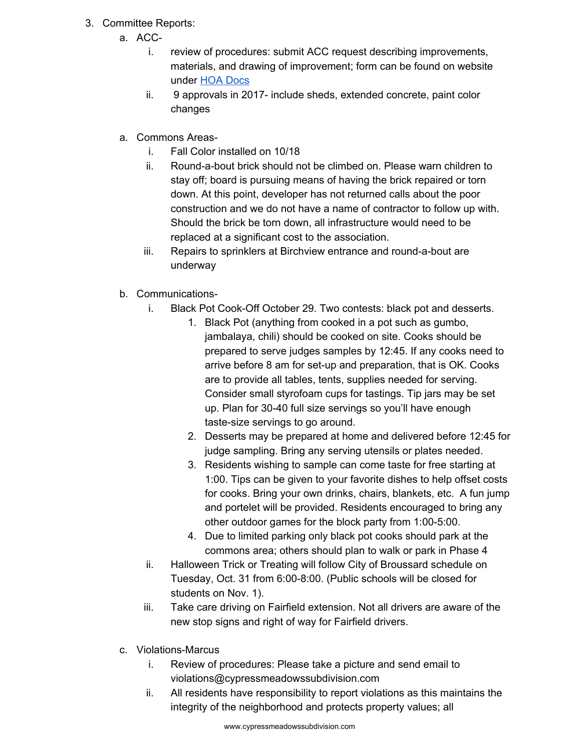- 3. Committee Reports:
	- a. ACC
		- i. review of procedures: submit ACC request describing improvements, materials, and drawing of improvement; form can be found on website under HOA [Docs](http://www.cypressmeadowssubdivision.com/hoa-docs/)
		- ii. 9 approvals in 2017- include sheds, extended concrete, paint color changes
	- a. Commons Areas
		- i. Fall Color installed on 10/18
		- ii. Round-a-bout brick should not be climbed on. Please warn children to stay off; board is pursuing means of having the brick repaired or torn down. At this point, developer has not returned calls about the poor construction and we do not have a name of contractor to follow up with. Should the brick be torn down, all infrastructure would need to be replaced at a significant cost to the association.
		- iii. Repairs to sprinklers at Birchview entrance and round-a-bout are underway
	- b. Communications
		- i. Black Pot Cook-Off October 29. Two contests: black pot and desserts.
			- 1. Black Pot (anything from cooked in a pot such as gumbo, jambalaya, chili) should be cooked on site. Cooks should be prepared to serve judges samples by 12:45. If any cooks need to arrive before 8 am for set-up and preparation, that is OK. Cooks are to provide all tables, tents, supplies needed for serving. Consider small styrofoam cups for tastings. Tip jars may be set up. Plan for 30-40 full size servings so you'll have enough taste-size servings to go around.
			- 2. Desserts may be prepared at home and delivered before 12:45 for judge sampling. Bring any serving utensils or plates needed.
			- 3. Residents wishing to sample can come taste for free starting at 1:00. Tips can be given to your favorite dishes to help offset costs for cooks. Bring your own drinks, chairs, blankets, etc. A fun jump and portelet will be provided. Residents encouraged to bring any other outdoor games for the block party from 1:00-5:00.
			- 4. Due to limited parking only black pot cooks should park at the commons area; others should plan to walk or park in Phase 4
		- ii. Halloween Trick or Treating will follow City of Broussard schedule on Tuesday, Oct. 31 from 6:00-8:00. (Public schools will be closed for students on Nov. 1).
		- iii. Take care driving on Fairfield extension. Not all drivers are aware of the new stop signs and right of way for Fairfield drivers.
	- c. Violations-Marcus
		- i. Review of procedures: Please take a picture and send email to violations@cypressmeadowssubdivision.com
		- ii. All residents have responsibility to report violations as this maintains the integrity of the neighborhood and protects property values; all